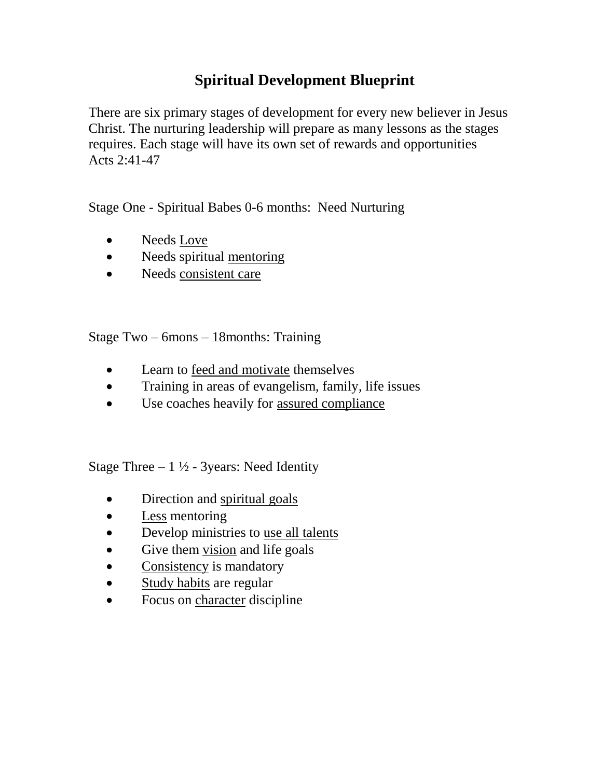## **Spiritual Development Blueprint**

There are six primary stages of development for every new believer in Jesus Christ. The nurturing leadership will prepare as many lessons as the stages requires. Each stage will have its own set of rewards and opportunities Acts 2:41-47

Stage One - Spiritual Babes 0-6 months: Need Nurturing

- Needs Love
- Needs spiritual mentoring
- Needs consistent care

Stage Two – 6mons – 18months: Training

- Learn to feed and motivate themselves
- Training in areas of evangelism, family, life issues
- Use coaches heavily for assured compliance

Stage Three  $-1\frac{1}{2}$  - 3years: Need Identity

- Direction and spiritual goals
- Less mentoring
- Develop ministries to use all talents
- Give them vision and life goals
- Consistency is mandatory
- Study habits are regular
- Focus on character discipline